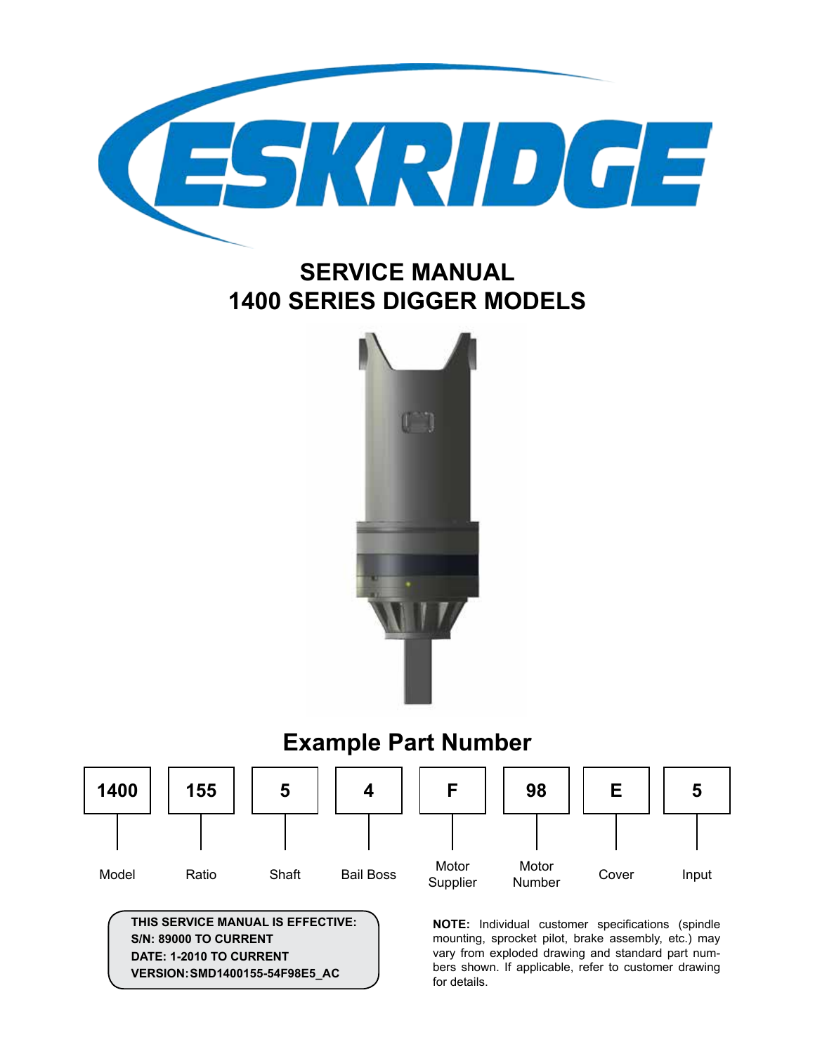

## **SERVICE MANUAL 1400 SERIES DIGGER MODELS**



# **Example Part Number**



**THIS SERVICE MANUAL IS EFFECTIVE: S/N: 89000 TO CURRENT DATE: 1-2010 TO CURRENT VERSION:SMD1400155-54F98E5\_AC**

**NOTE:** Individual customer specifications (spindle mounting, sprocket pilot, brake assembly, etc.) may vary from exploded drawing and standard part numbers shown. If applicable, refer to customer drawing for details.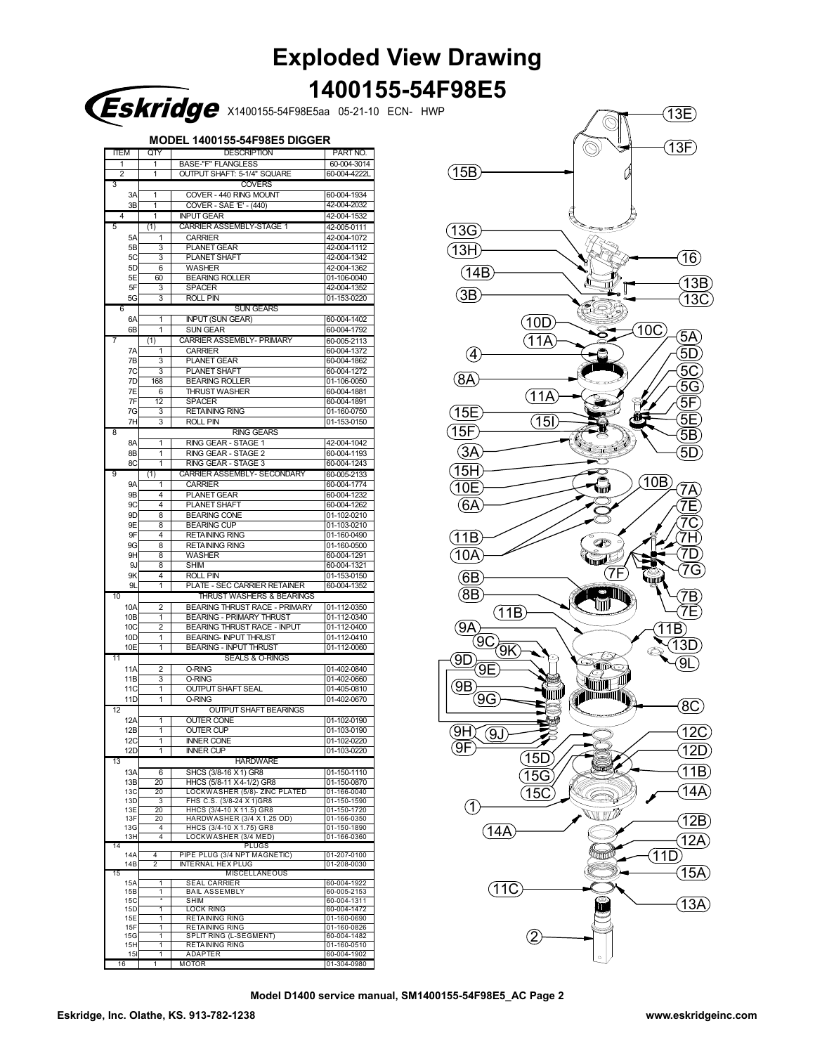| <b>Exploded View Drawing</b> |  |
|------------------------------|--|
| 1400155-54F98E5              |  |

| Eskridge x1400155-54F98E5aa 05-21-10 ECN- HWP |  |  |
|-----------------------------------------------|--|--|
|                                               |  |  |

**MODEL 1400155-54F98E5 DIGGER**

|                 |               | ושטוו  | 1400 133-34F 30E3 DIGGI                         |                            |  |  |  |  |
|-----------------|---------------|--------|-------------------------------------------------|----------------------------|--|--|--|--|
| ITEM            | QTY           |        | <b>DESCRIPTION</b>                              | PART NO.                   |  |  |  |  |
| 1               | 1             |        | <b>BASE-"F" FLANGLESS</b>                       | 60-004-3014                |  |  |  |  |
| 2               | 1             |        | OUTPUT SHAFT: 5-1/4" SQUARE                     | 60-004-4222L               |  |  |  |  |
| 3               | <b>COVERS</b> |        |                                                 |                            |  |  |  |  |
| 3A              | 1             |        | COVER - 440 RING MOUNT                          | 60-004-1934                |  |  |  |  |
| 3B              | 1             |        | COVER - SAE 'E' - (440)                         | 42-004-2032                |  |  |  |  |
| 4               | 1             |        | <b>INPUT GEAR</b>                               | 42-004-1532                |  |  |  |  |
|                 |               |        |                                                 |                            |  |  |  |  |
| 5               | (1)           |        | <b>CARRIER ASSEMBLY-STAGE 1</b>                 | 42-005-0111                |  |  |  |  |
| 5A              |               | 1      | <b>CARRIER</b>                                  | 42-004-1072                |  |  |  |  |
| 5B              |               | 3      | <b>PLANET GEAR</b>                              | 42-004-1112                |  |  |  |  |
| 5C              |               | 3      | PLANET SHAFT                                    | 42-004-1342                |  |  |  |  |
|                 | 5D            | 6      | WASHER                                          | 42-004-1362                |  |  |  |  |
| 5E              |               | 60     | <b>BEARING ROLLER</b>                           | 01-106-0040                |  |  |  |  |
| 5F              |               | 3      | SPACER                                          | 42-004-1352                |  |  |  |  |
| 5G              |               | 3      | <b>ROLL PIN</b>                                 | 01-153-0220                |  |  |  |  |
| 6               |               |        | <b>SUN GEARS</b>                                |                            |  |  |  |  |
|                 |               |        |                                                 |                            |  |  |  |  |
| 6A              |               | 1      | <b>INPUT (SUN GEAR)</b>                         | 60-004-1402                |  |  |  |  |
| 6B              |               | 1      | <b>SUN GEAR</b>                                 | 60-004-1792                |  |  |  |  |
| 7               | (1)           |        | <b>CARRIER ASSEMBLY- PRIMARY</b>                | 60-005-2113                |  |  |  |  |
| 7A              |               | 1      | <b>CARRIER</b>                                  | 60-004-1372                |  |  |  |  |
| 7B              |               | 3      | PLANET GEAR                                     | 60-004-1862                |  |  |  |  |
| 7С              |               | 3      | PLANET SHAFT                                    | 60-004-1272                |  |  |  |  |
| 7D              |               | 168    | <b>BEARING ROLLER</b>                           | 01-106-0050                |  |  |  |  |
| 7Ε              |               | 6      | <b>THRUST WASHER</b>                            | 60-004-1881                |  |  |  |  |
| 7F              |               | 12     |                                                 | 60-004-1891                |  |  |  |  |
|                 |               |        | SPACER                                          |                            |  |  |  |  |
| 7G              |               | 3      | <b>RETAINING RING</b>                           | 01-160-0750                |  |  |  |  |
| 7H              |               | 3      | <b>ROLL PIN</b>                                 | 01-153-0150                |  |  |  |  |
| 8               |               |        | <b>RING GEARS</b>                               |                            |  |  |  |  |
| 8A              |               | 1      | RING GEAR - STAGE 1                             | 42-004-1042                |  |  |  |  |
| 8B              |               | 1      | RING GEAR - STAGE 2                             | 60-004-1193                |  |  |  |  |
| 8C              |               | 1      | RING GEAR - STAGE 3                             | 60-004-1243                |  |  |  |  |
| 9               | (1)           |        | CARRIER ASSEMBLY- SECONDARY                     | 60-005-2133                |  |  |  |  |
| <b>9A</b>       |               | 1      | <b>CARRIER</b>                                  | 60-004-1774                |  |  |  |  |
| 9B              |               | 4      |                                                 | 60-004-1232                |  |  |  |  |
|                 |               |        | <b>PLANET GEAR</b>                              |                            |  |  |  |  |
| 9С              |               | 4      | PLANET SHAFT                                    | 60-004-1262                |  |  |  |  |
|                 | 9D            | 8      | <b>BEARING CONE</b>                             | 01-102-0210                |  |  |  |  |
| 9E              |               | 8      | <b>BEARING CUP</b>                              | 01-103-0210                |  |  |  |  |
|                 | 9F            | 4      | <b>RETAINING RING</b>                           | 01-160-0490                |  |  |  |  |
| 9G              |               | 8      | <b>RETAINING RING</b>                           | 01-160-0500                |  |  |  |  |
|                 | 9H            | 8      | WASHER                                          | 60-004-1291                |  |  |  |  |
|                 | 9J            | 8      | SHIM                                            | 60-004-1321                |  |  |  |  |
| 9Κ              |               | 4      | <b>ROLL PIN</b>                                 | 01-153-0150                |  |  |  |  |
| 9L              |               | 1      | PLATE - SEC CARRIER RETAINER                    | 60-004-1352                |  |  |  |  |
| 10              |               |        |                                                 |                            |  |  |  |  |
|                 |               |        | THRUST WASHERS & BEARINGS                       |                            |  |  |  |  |
| 10A             |               | 2      | <b>BEARING THRUST RACE - PRIMARY</b>            | 01-112-0350                |  |  |  |  |
| 10B             |               | 1      | <b>BEARING - PRIMARY THRUST</b>                 | 01-112-0340                |  |  |  |  |
| 10C             |               | 2      | <b>BEARING THRUST RACE - INPUT</b>              | 01-112-0400                |  |  |  |  |
| 10D             |               | 1      | <b>BEARING- INPUT THRUST</b>                    | 01-112-0410                |  |  |  |  |
| 10E             |               | 1      | <b>BEARING - INPUT THRUST</b>                   | 01-112-0060                |  |  |  |  |
| 11              |               |        | <b>SEALS &amp; O-RINGS</b>                      |                            |  |  |  |  |
| 11A             |               | 2      | <b>O-RING</b>                                   | 01-402-0840                |  |  |  |  |
| 11B             |               | 3      | <b>O-RING</b>                                   | 01-402-0660                |  |  |  |  |
| 11C             |               | 1      | <b>OUTPUT SHAFT SEAL</b>                        | 01-405-0810                |  |  |  |  |
| 11D             |               | 1      | O-RING                                          | 01-402-0670                |  |  |  |  |
| 12              |               |        | <b>OUTPUT SHAFT BEARINGS</b>                    |                            |  |  |  |  |
|                 |               |        |                                                 |                            |  |  |  |  |
| 12A             |               | 1      | <b>OUTER CONE</b>                               | 01-102-0190                |  |  |  |  |
| 12B             |               | 1      | <b>OUTER CUP</b>                                | 01-103-0190                |  |  |  |  |
| 12C             |               |        | <b>INNER CONE</b>                               | 01-102-0220                |  |  |  |  |
| 12 <sub>D</sub> |               | 1      | <b>INNER CUP</b>                                | 01-103-0220                |  |  |  |  |
| 13              |               |        | <b>HARDWARE</b>                                 |                            |  |  |  |  |
| 13A             |               | 6      | SHCS (3/8-16 X 1) GR8                           | 01-150-1110                |  |  |  |  |
| 13B             |               | 20     | HHCS (5/8-11 X 4-1/2) GR8                       | 01-150-0870                |  |  |  |  |
| 13C             |               | 20     | LOCKWASHER (5/8)- ZINC PLATED                   | 01-166-0040                |  |  |  |  |
| 13D             |               | -3     | FHS C.S. (3/8-24 X 1)GR8                        | 01-150-1590                |  |  |  |  |
| 13E             |               | 20     | HHCS (3/4-10 X 11.5) GR8                        | 01-150-1720                |  |  |  |  |
| 13F             |               | 20     | HARDWASHER (3/4 X 1.25 OD)                      | 01-166-0350                |  |  |  |  |
| 13G             |               | 4      | HHCS (3/4-10 X 1.75) GR8                        | 01-150-1890                |  |  |  |  |
| 13H             |               | 4      | LOCKWASHER (3/4 MED)                            | 01-166-0360                |  |  |  |  |
| 14              |               |        | <b>PLUGS</b>                                    |                            |  |  |  |  |
| 14A             | 4             |        | PIPE PLUG (3/4 NPT MAGNETIC)                    | 01-207-0100                |  |  |  |  |
| 14B             | 2             |        | INTERNAL HEX PLUG                               | 01-208-0030                |  |  |  |  |
| 15              |               |        | <b>MISCELLANEOUS</b>                            |                            |  |  |  |  |
| 15A             |               | 1      | <b>SEAL CARRIER</b>                             | 60-004-1922                |  |  |  |  |
| 15B             |               | 1      | <b>BAIL ASSEMBLY</b>                            | 60-005-2153                |  |  |  |  |
| 15C             |               |        | SHIM                                            | 60-004-1311                |  |  |  |  |
| 15D             |               | 1      | <b>LOCK RING</b>                                | 60-004-1472                |  |  |  |  |
| 15E             |               | 1      | <b>RETAINING RING</b>                           | 01-160-0690                |  |  |  |  |
| 15F             |               | 1      | RETAINING RING                                  | 01-160-0826                |  |  |  |  |
| 15G             |               | 1<br>1 | SPLIT RING (L-SEGMENT)<br><b>RETAINING RING</b> | 60-004-1482<br>01-160-0510 |  |  |  |  |
| 15H<br>151      |               | 1      | <b>ADAPTER</b>                                  | 60-004-1902                |  |  |  |  |
|                 |               |        |                                                 |                            |  |  |  |  |
| 16              |               | 1      | MOTOR                                           | 01-304-0980                |  |  |  |  |



**Model D1400 service manual, SM1400155-54F98E5\_AC Page 2**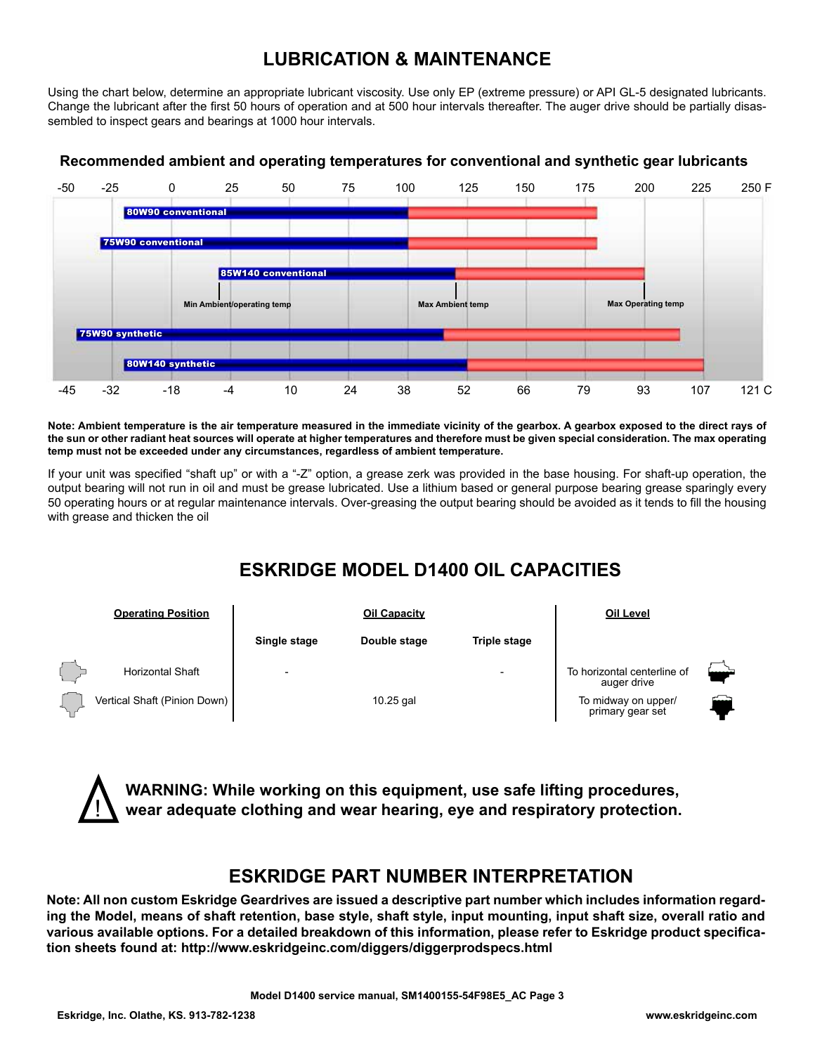## **LUBRICATION & MAINTENANCE**

Using the chart below, determine an appropriate lubricant viscosity. Use only EP (extreme pressure) or API GL-5 designated lubricants. Change the lubricant after the first 50 hours of operation and at 500 hour intervals thereafter. The auger drive should be partially disassembled to inspect gears and bearings at 1000 hour intervals.



## **Recommended ambient and operating temperatures for conventional and synthetic gear lubricants**

**Note: Ambient temperature is the air temperature measured in the immediate vicinity of the gearbox. A gearbox exposed to the direct rays of the sun or other radiant heat sources will operate at higher temperatures and therefore must be given special consideration. The max operating temp must not be exceeded under any circumstances, regardless of ambient temperature.**

If your unit was specified "shaft up" or with a "-Z" option, a grease zerk was provided in the base housing. For shaft-up operation, the output bearing will not run in oil and must be grease lubricated. Use a lithium based or general purpose bearing grease sparingly every 50 operating hours or at regular maintenance intervals. Over-greasing the output bearing should be avoided as it tends to fill the housing with grease and thicken the oil

## **ESKRIDGE MODEL D1400 OIL CAPACITIES**



**WARNING: While working on this equipment, use safe lifting procedures, wear adequate clothing and wear hearing, eye and respiratory protection.**

## **ESKRIDGE PART NUMBER INTERPRETATION**

**Note: All non custom Eskridge Geardrives are issued a descriptive part number which includes information regarding the Model, means of shaft retention, base style, shaft style, input mounting, input shaft size, overall ratio and various available options. For a detailed breakdown of this information, please refer to Eskridge product specification sheets found at: http://www.eskridgeinc.com/diggers/diggerprodspecs.html**

!<br>!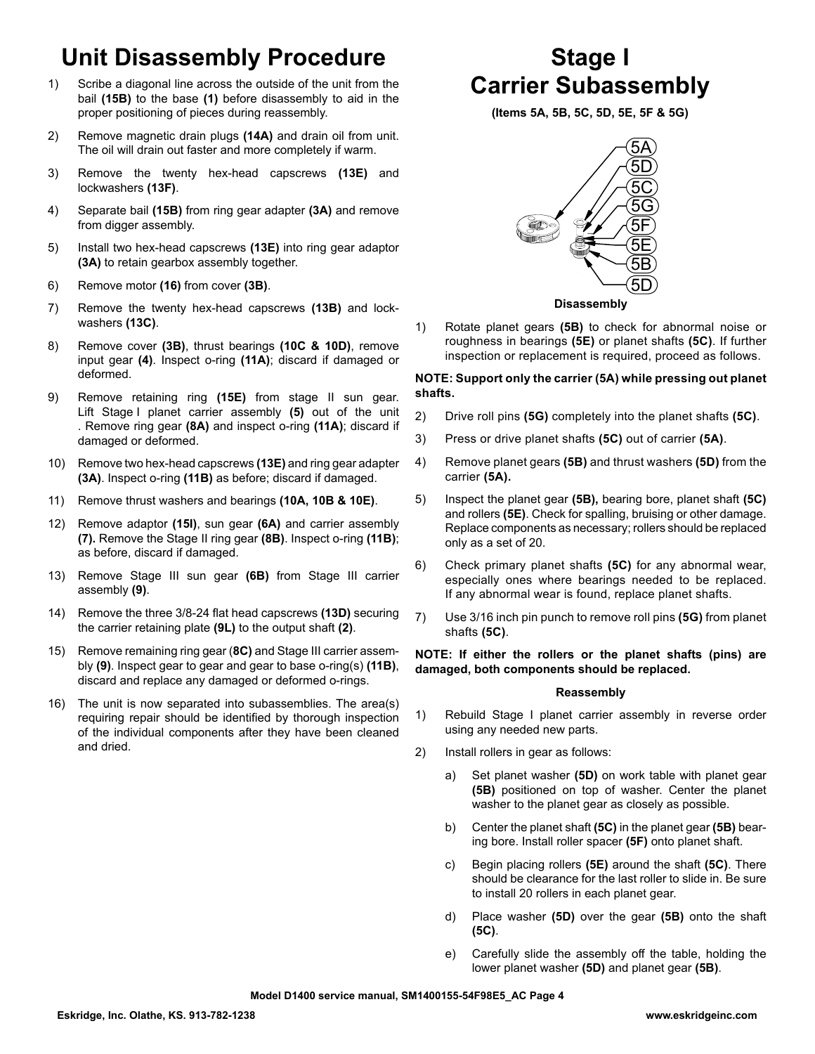# **Unit Disassembly Procedure**

- 1) Scribe a diagonal line across the outside of the unit from the bail **(15B)** to the base **(1)** before disassembly to aid in the proper positioning of pieces during reassembly.
- 2) Remove magnetic drain plugs **(14A)** and drain oil from unit. The oil will drain out faster and more completely if warm.
- 3) Remove the twenty hex-head capscrews **(13E)** and lockwashers **(13F)**.
- 4) Separate bail **(15B)** from ring gear adapter **(3A)** and remove from digger assembly.
- 5) Install two hex-head capscrews **(13E)** into ring gear adaptor **(3A)** to retain gearbox assembly together.
- 6) Remove motor **(16)** from cover **(3B)**.
- 7) Remove the twenty hex-head capscrews **(13B)** and lockwashers **(13C)**.
- 8) Remove cover **(3B)**, thrust bearings **(10C & 10D)**, remove input gear **(4)**. Inspect o-ring **(11A)**; discard if damaged or deformed.
- 9) Remove retaining ring **(15E)** from stage II sun gear. Lift Stage I planet carrier assembly **(5)** out of the unit . Remove ring gear **(8A)** and inspect o-ring **(11A)**; discard if damaged or deformed.
- 10) Remove two hex-head capscrews **(13E)** and ring gear adapter **(3A)**. Inspect o-ring **(11B)** as before; discard if damaged.
- 11) Remove thrust washers and bearings **(10A, 10B & 10E)**.
- 12) Remove adaptor **(15I)**, sun gear **(6A)** and carrier assembly **(7).** Remove the Stage II ring gear **(8B)**. Inspect o-ring **(11B)**; as before, discard if damaged.
- 13) Remove Stage III sun gear **(6B)** from Stage III carrier assembly **(9)**.
- 14) Remove the three 3/8-24 flat head capscrews **(13D)** securing the carrier retaining plate **(9L)** to the output shaft **(2)**.
- 15) Remove remaining ring gear (**8C)** and Stage III carrier assembly **(9)**. Inspect gear to gear and gear to base o-ring(s) **(11B)**, discard and replace any damaged or deformed o-rings.
- 16) The unit is now separated into subassemblies. The area(s) requiring repair should be identified by thorough inspection of the individual components after they have been cleaned and dried.

# **Stage I Carrier Subassembly**

**(Items 5A, 5B, 5C, 5D, 5E, 5F & 5G)**



**Disassembly**

1) Rotate planet gears **(5B)** to check for abnormal noise or roughness in bearings **(5E)** or planet shafts **(5C)**. If further inspection or replacement is required, proceed as follows.

## **NOTE: Support only the carrier (5A) while pressing out planet shafts.**

- 2) Drive roll pins **(5G)** completely into the planet shafts **(5C)**.
- 3) Press or drive planet shafts **(5C)** out of carrier **(5A)**.
- 4) Remove planet gears **(5B)** and thrust washers **(5D)** from the carrier **(5A).**
- 5) Inspect the planet gear **(5B),** bearing bore, planet shaft **(5C)** and rollers **(5E)**. Check for spalling, bruising or other damage. Replace components as necessary; rollers should be replaced only as a set of 20.
- 6) Check primary planet shafts **(5C)** for any abnormal wear, especially ones where bearings needed to be replaced. If any abnormal wear is found, replace planet shafts.
- 7) Use 3/16 inch pin punch to remove roll pins **(5G)** from planet shafts **(5C)**.

**NOTE: If either the rollers or the planet shafts (pins) are damaged, both components should be replaced.**

## **Reassembly**

- 1) Rebuild Stage I planet carrier assembly in reverse order using any needed new parts.
- 2) Install rollers in gear as follows:
	- a) Set planet washer **(5D)** on work table with planet gear **(5B)** positioned on top of washer. Center the planet washer to the planet gear as closely as possible.
	- b) Center the planet shaft **(5C)** in the planet gear **(5B)** bearing bore. Install roller spacer **(5F)** onto planet shaft.
	- c) Begin placing rollers **(5E)** around the shaft **(5C)**. There should be clearance for the last roller to slide in. Be sure to install 20 rollers in each planet gear.
	- d) Place washer **(5D)** over the gear **(5B)** onto the shaft **(5C)**.
	- e) Carefully slide the assembly off the table, holding the lower planet washer **(5D)** and planet gear **(5B)**.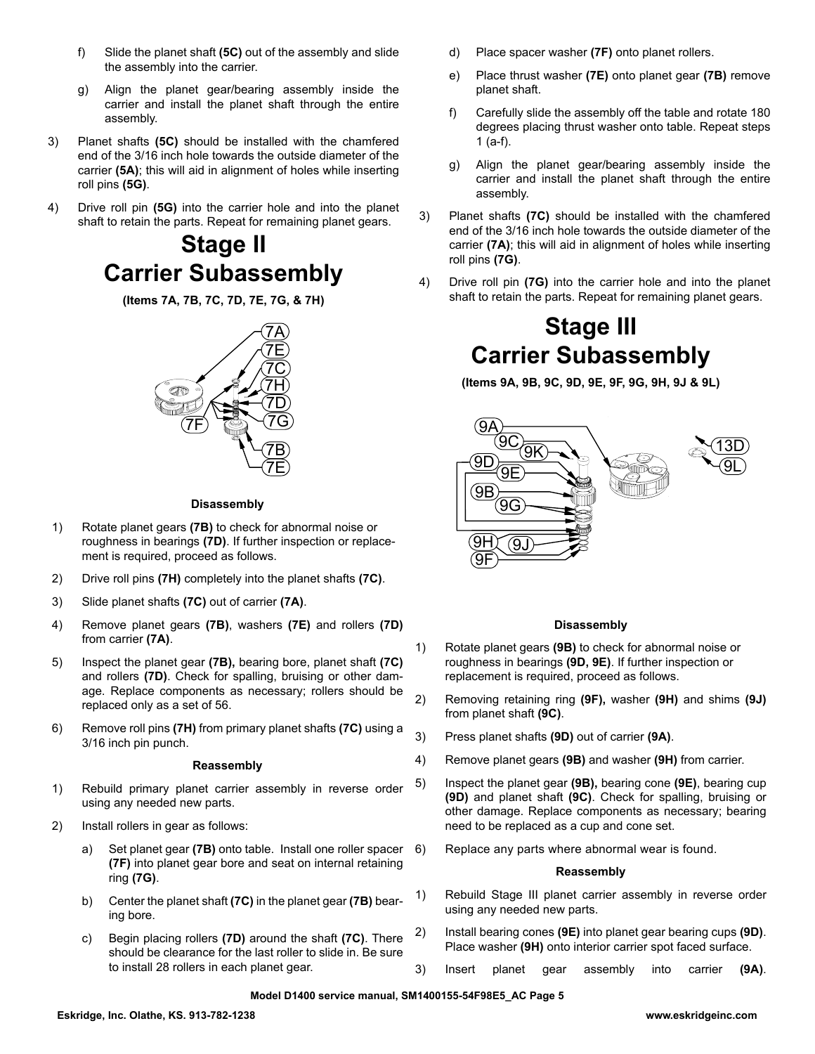- f) Slide the planet shaft **(5C)** out of the assembly and slide the assembly into the carrier.
- g) Align the planet gear/bearing assembly inside the carrier and install the planet shaft through the entire assembly.
- 3) Planet shafts **(5C)** should be installed with the chamfered end of the 3/16 inch hole towards the outside diameter of the carrier **(5A)**; this will aid in alignment of holes while inserting roll pins **(5G)**.
- 4) Drive roll pin **(5G)** into the carrier hole and into the planet shaft to retain the parts. Repeat for remaining planet gears.

## **Stage II Carrier Subassembly**

**(Items 7A, 7B, 7C, 7D, 7E, 7G, & 7H)**



## **Disassembly**

- 1) Rotate planet gears **(7B)** to check for abnormal noise or roughness in bearings **(7D)**. If further inspection or replacement is required, proceed as follows.
- 2) Drive roll pins **(7H)** completely into the planet shafts **(7C)**.
- 3) Slide planet shafts **(7C)** out of carrier **(7A)**.
- 4) Remove planet gears **(7B)**, washers **(7E)** and rollers **(7D)** from carrier **(7A)**.
- 5) Inspect the planet gear **(7B),** bearing bore, planet shaft **(7C)** and rollers **(7D)**. Check for spalling, bruising or other damage. Replace components as necessary; rollers should be replaced only as a set of 56.
- 6) Remove roll pins **(7H)** from primary planet shafts **(7C)** using a 3/16 inch pin punch.

### **Reassembly**

- 1) Rebuild primary planet carrier assembly in reverse order using any needed new parts.
- 2) Install rollers in gear as follows:
	- a) Set planet gear **(7B)** onto table. Install one roller spacer **(7F)** into planet gear bore and seat on internal retaining ring **(7G)**.
	- b) Center the planet shaft **(7C)** in the planet gear **(7B)** bearing bore.
	- c) Begin placing rollers **(7D)** around the shaft **(7C)**. There should be clearance for the last roller to slide in. Be sure to install 28 rollers in each planet gear.
- d) Place spacer washer **(7F)** onto planet rollers.
- e) Place thrust washer **(7E)** onto planet gear **(7B)** remove planet shaft.
- f) Carefully slide the assembly off the table and rotate 180 degrees placing thrust washer onto table. Repeat steps 1 (a-f).
- g) Align the planet gear/bearing assembly inside the carrier and install the planet shaft through the entire assembly.
- 3) Planet shafts **(7C)** should be installed with the chamfered end of the 3/16 inch hole towards the outside diameter of the carrier **(7A)**; this will aid in alignment of holes while inserting roll pins **(7G)**.
- 4) Drive roll pin **(7G)** into the carrier hole and into the planet shaft to retain the parts. Repeat for remaining planet gears.

# **Stage III Carrier Subassembly**

**(Items 9A, 9B, 9C, 9D, 9E, 9F, 9G, 9H, 9J & 9L)**



## **Disassembly**

- 1) Rotate planet gears **(9B)** to check for abnormal noise or roughness in bearings **(9D, 9E)**. If further inspection or replacement is required, proceed as follows.
- 2) Removing retaining ring **(9F),** washer **(9H)** and shims **(9J)**  from planet shaft **(9C)**.
- 3) Press planet shafts **(9D)** out of carrier **(9A)**.
- 4) Remove planet gears **(9B)** and washer **(9H)** from carrier.
- 5) Inspect the planet gear **(9B),** bearing cone **(9E)**, bearing cup **(9D)** and planet shaft **(9C)**. Check for spalling, bruising or other damage. Replace components as necessary; bearing need to be replaced as a cup and cone set.
- Replace any parts where abnormal wear is found.

## **Reassembly**

- 1) Rebuild Stage III planet carrier assembly in reverse order using any needed new parts.
- 2) Install bearing cones **(9E)** into planet gear bearing cups **(9D)**. Place washer **(9H)** onto interior carrier spot faced surface.
- 3) Insert planet gear assembly into carrier **(9A)**.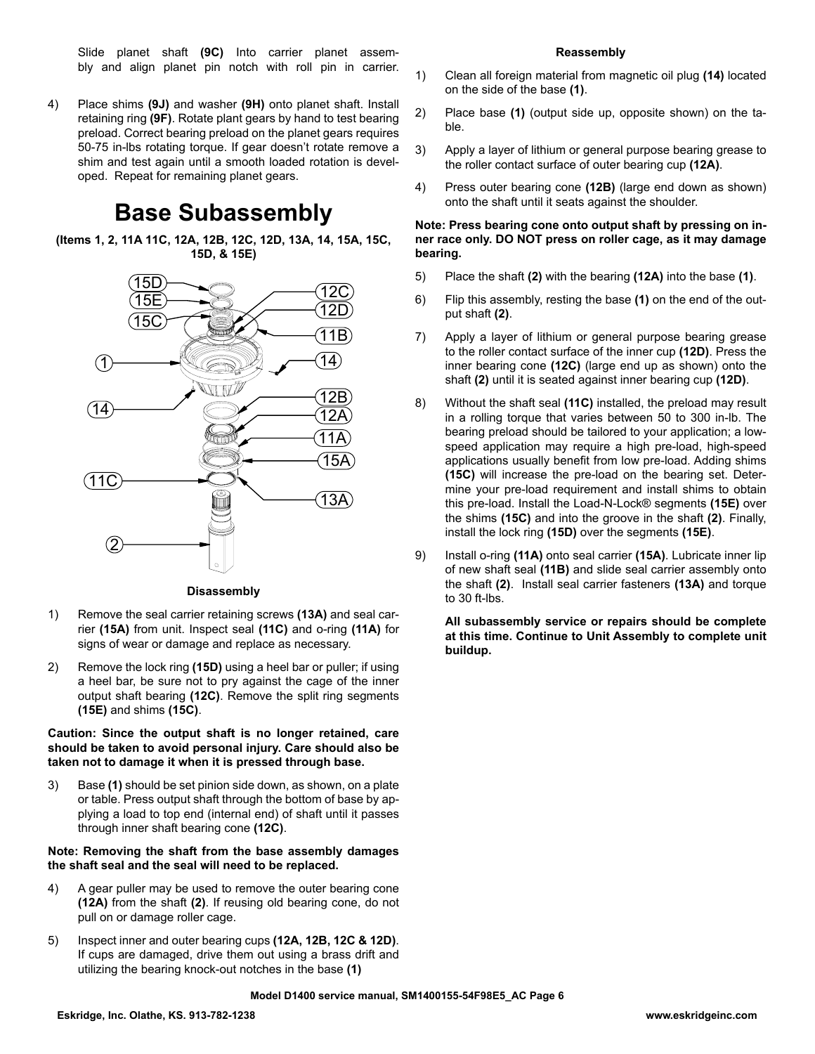Slide planet shaft **(9C)** Into carrier planet assembly and align planet pin notch with roll pin in carrier.

4) Place shims **(9J)** and washer **(9H)** onto planet shaft. Install retaining ring **(9F)**. Rotate plant gears by hand to test bearing preload. Correct bearing preload on the planet gears requires 50-75 in-lbs rotating torque. If gear doesn't rotate remove a shim and test again until a smooth loaded rotation is developed. Repeat for remaining planet gears.

## **Base Subassembly**

**(Items 1, 2, 11A 11C, 12A, 12B, 12C, 12D, 13A, 14, 15A, 15C, 15D, & 15E)**



#### **Disassembly**

- 1) Remove the seal carrier retaining screws **(13A)** and seal carrier **(15A)** from unit. Inspect seal **(11C)** and o-ring **(11A)** for signs of wear or damage and replace as necessary.
- 2) Remove the lock ring **(15D)** using a heel bar or puller; if using a heel bar, be sure not to pry against the cage of the inner output shaft bearing **(12C)**. Remove the split ring segments **(15E)** and shims **(15C)**.

#### **Caution: Since the output shaft is no longer retained, care should be taken to avoid personal injury. Care should also be taken not to damage it when it is pressed through base.**

3) Base **(1)** should be set pinion side down, as shown, on a plate or table. Press output shaft through the bottom of base by applying a load to top end (internal end) of shaft until it passes through inner shaft bearing cone **(12C)**.

#### **Note: Removing the shaft from the base assembly damages the shaft seal and the seal will need to be replaced.**

- 4) A gear puller may be used to remove the outer bearing cone **(12A)** from the shaft **(2)**. If reusing old bearing cone, do not pull on or damage roller cage.
- 5) Inspect inner and outer bearing cups **(12A, 12B, 12C & 12D)**. If cups are damaged, drive them out using a brass drift and utilizing the bearing knock-out notches in the base **(1)**

#### **Reassembly**

- 1) Clean all foreign material from magnetic oil plug **(14)** located on the side of the base **(1)**.
- 2) Place base **(1)** (output side up, opposite shown) on the table.
- 3) Apply a layer of lithium or general purpose bearing grease to the roller contact surface of outer bearing cup **(12A)**.
- 4) Press outer bearing cone **(12B)** (large end down as shown) onto the shaft until it seats against the shoulder.

#### **Note: Press bearing cone onto output shaft by pressing on inner race only. DO NOT press on roller cage, as it may damage bearing.**

- 5) Place the shaft **(2)** with the bearing **(12A)** into the base **(1)**.
- 6) Flip this assembly, resting the base **(1)** on the end of the output shaft **(2)**.
- 7) Apply a layer of lithium or general purpose bearing grease to the roller contact surface of the inner cup **(12D)**. Press the inner bearing cone **(12C)** (large end up as shown) onto the shaft **(2)** until it is seated against inner bearing cup **(12D)**.
- 8) Without the shaft seal **(11C)** installed, the preload may result in a rolling torque that varies between 50 to 300 in-lb. The bearing preload should be tailored to your application; a lowspeed application may require a high pre-load, high-speed applications usually benefit from low pre-load. Adding shims **(15C)** will increase the pre-load on the bearing set. Determine your pre-load requirement and install shims to obtain this pre-load. Install the Load-N-Lock® segments **(15E)** over the shims **(15C)** and into the groove in the shaft **(2)**. Finally, install the lock ring **(15D)** over the segments **(15E)**.
- 9) Install o-ring **(11A)** onto seal carrier **(15A)**. Lubricate inner lip of new shaft seal **(11B)** and slide seal carrier assembly onto the shaft **(2)**. Install seal carrier fasteners **(13A)** and torque to 30 ft-lbs.

**All subassembly service or repairs should be complete at this time. Continue to Unit Assembly to complete unit buildup.**